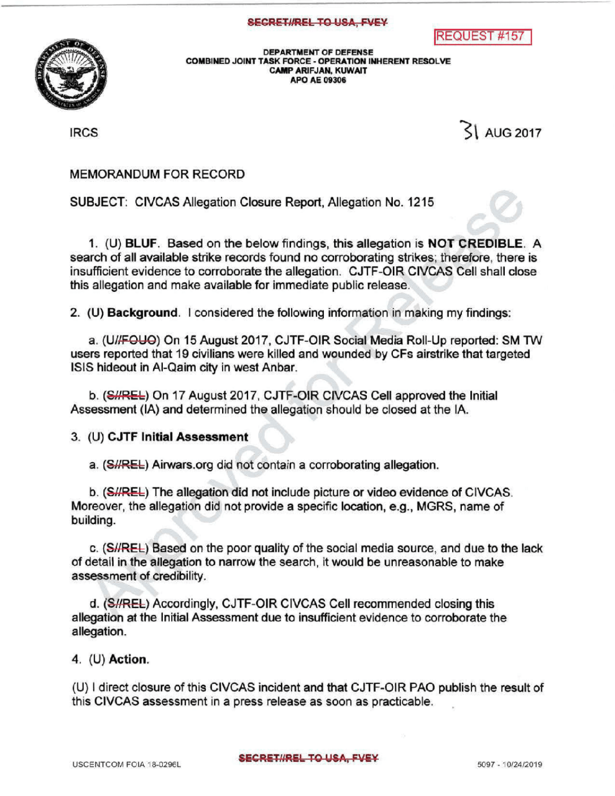



DEPARTMENT OF DEFENSE COMBINED JOINT TASK FORCE - OPERATION INHERENT RESOLVE CAMP ARIFJAN, KUWAIT<br>APO AE 09306

 $I<sub>RCS</sub>$  AUG 2017

## MEMORANDUMFOR RECORD

SUBJECT: CIVCAS Allegation Closure Report, Allegation No. 1215

1. (U) BLUF. Based on the below findings, this allegation is NOT CREDIBLE. A search of all available strike records found no corroborating strikes; therefore, there is insufficient evidence to corroborate the allegation. CJTF-OIR CIVCAS Cell shall close this allegation and make available for immediate public release.

2. (U) Background. I considered the following information in making my findings:

a. (U//FOUO) On 15 August 2017, CJTF-OIR Social Media Roll-Up reported: SM TW users reported that 19 civilians were killed and wounded by CFs airstrike that targeted ISIS hideout in Al-Qaim city in west Anbar.

b. (S//REL) On 17 August 2017, CJTF-OIR CIVCAS Cell approved the Initial Assessment (IA) and determined the allegation should be closed at the IA.

## 3. (U) CJTF Initial Assessment

a. (S//REL) Airwars.org did not contain a corroborating allegation.

b. (S//REL) The allegation did not include picture or video evidence of CIVCAS. Moreover, the allegation did not provide a specific location, e.g., MGRS, name of building.

c. (S//REL) Based on the poor quality of the social media source, and due to the lack of detail in the allegation to narrowthe search, it would be unreasonableto make assessment of credibility.

d. (S//REL) Accordingly, CJTF-OIR CIVCAS Cell recommended closing this allegation at the Initial Assessment due to insufficient evidence to corroborate the allegation

4. (U) Action.

(U) I direct closure of this CIVCAS incident and that CJTF-OIR PAO publish the result of this CIVCAS assessment in a press release as soon as practicable.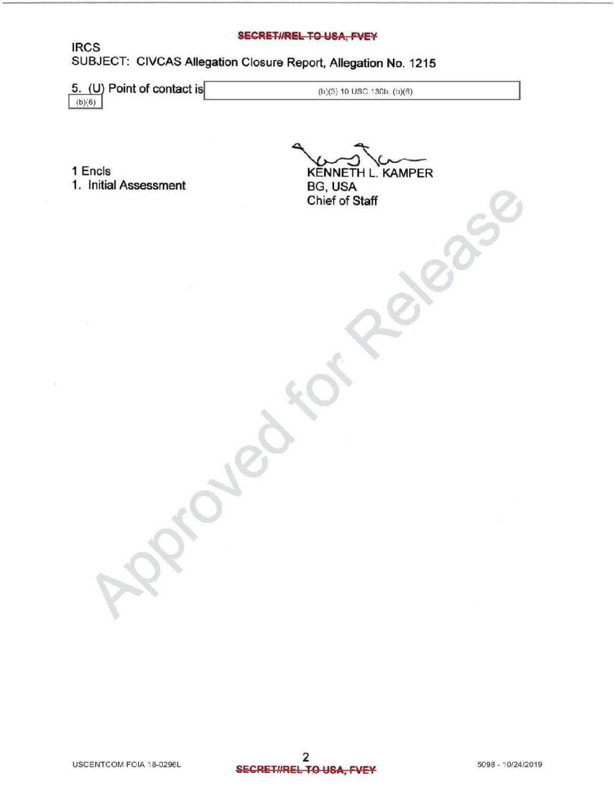## SECRET#REL TO USA, FVEY

IRCS SUBJECT: CIVCAS Allegation Closure Report, Allegation No. 1215

5. (U) Point of contact is  $(b)(3)$  10 USC 130b; (b)(6)  $(b)(6)$ 

1 Encls

1. Initial Assessment

 $\sim$ KENNETH L.KAMPER BG, USA Chief of Staff  $30^{66}$ 

 $\mathcal{P}$